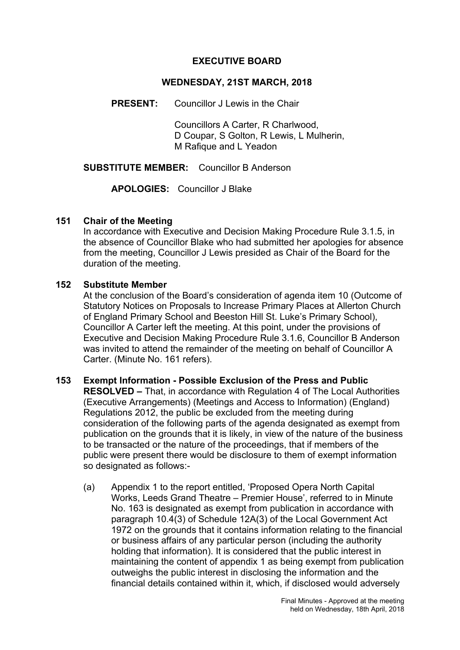#### **EXECUTIVE BOARD**

#### **WEDNESDAY, 21ST MARCH, 2018**

**PRESENT:** Councillor J Lewis in the Chair

Councillors A Carter, R Charlwood, D Coupar, S Golton, R Lewis, L Mulherin, M Rafique and L Yeadon

**SUBSTITUTE MEMBER:** Councillor B Anderson

**APOLOGIES:** Councillor J Blake

#### **151 Chair of the Meeting**

In accordance with Executive and Decision Making Procedure Rule 3.1.5, in the absence of Councillor Blake who had submitted her apologies for absence from the meeting, Councillor J Lewis presided as Chair of the Board for the duration of the meeting.

#### **152 Substitute Member**

At the conclusion of the Board's consideration of agenda item 10 (Outcome of Statutory Notices on Proposals to Increase Primary Places at Allerton Church of England Primary School and Beeston Hill St. Luke's Primary School), Councillor A Carter left the meeting. At this point, under the provisions of Executive and Decision Making Procedure Rule 3.1.6, Councillor B Anderson was invited to attend the remainder of the meeting on behalf of Councillor A Carter. (Minute No. 161 refers).

## **153 Exempt Information - Possible Exclusion of the Press and Public**

**RESOLVED –** That, in accordance with Regulation 4 of The Local Authorities (Executive Arrangements) (Meetings and Access to Information) (England) Regulations 2012, the public be excluded from the meeting during consideration of the following parts of the agenda designated as exempt from publication on the grounds that it is likely, in view of the nature of the business to be transacted or the nature of the proceedings, that if members of the public were present there would be disclosure to them of exempt information so designated as follows:-

(a) Appendix 1 to the report entitled, 'Proposed Opera North Capital Works, Leeds Grand Theatre – Premier House', referred to in Minute No. 163 is designated as exempt from publication in accordance with paragraph 10.4(3) of Schedule 12A(3) of the Local Government Act 1972 on the grounds that it contains information relating to the financial or business affairs of any particular person (including the authority holding that information). It is considered that the public interest in maintaining the content of appendix 1 as being exempt from publication outweighs the public interest in disclosing the information and the financial details contained within it, which, if disclosed would adversely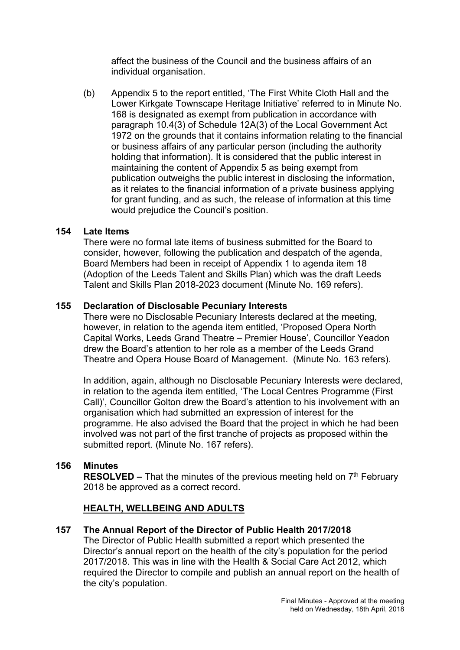affect the business of the Council and the business affairs of an individual organisation.

(b) Appendix 5 to the report entitled, 'The First White Cloth Hall and the Lower Kirkgate Townscape Heritage Initiative' referred to in Minute No. 168 is designated as exempt from publication in accordance with paragraph 10.4(3) of Schedule 12A(3) of the Local Government Act 1972 on the grounds that it contains information relating to the financial or business affairs of any particular person (including the authority holding that information). It is considered that the public interest in maintaining the content of Appendix 5 as being exempt from publication outweighs the public interest in disclosing the information, as it relates to the financial information of a private business applying for grant funding, and as such, the release of information at this time would prejudice the Council's position.

## **154 Late Items**

There were no formal late items of business submitted for the Board to consider, however, following the publication and despatch of the agenda, Board Members had been in receipt of Appendix 1 to agenda item 18 (Adoption of the Leeds Talent and Skills Plan) which was the draft Leeds Talent and Skills Plan 2018-2023 document (Minute No. 169 refers).

## **155 Declaration of Disclosable Pecuniary Interests**

There were no Disclosable Pecuniary Interests declared at the meeting, however, in relation to the agenda item entitled, 'Proposed Opera North Capital Works, Leeds Grand Theatre – Premier House', Councillor Yeadon drew the Board's attention to her role as a member of the Leeds Grand Theatre and Opera House Board of Management. (Minute No. 163 refers).

In addition, again, although no Disclosable Pecuniary Interests were declared, in relation to the agenda item entitled, 'The Local Centres Programme (First Call)', Councillor Golton drew the Board's attention to his involvement with an organisation which had submitted an expression of interest for the programme. He also advised the Board that the project in which he had been involved was not part of the first tranche of projects as proposed within the submitted report. (Minute No. 167 refers).

# **156 Minutes**

**RESOLVED –** That the minutes of the previous meeting held on 7<sup>th</sup> February 2018 be approved as a correct record.

## **HEALTH, WELLBEING AND ADULTS**

**157 The Annual Report of the Director of Public Health 2017/2018**

The Director of Public Health submitted a report which presented the Director's annual report on the health of the city's population for the period 2017/2018. This was in line with the Health & Social Care Act 2012, which required the Director to compile and publish an annual report on the health of the city's population.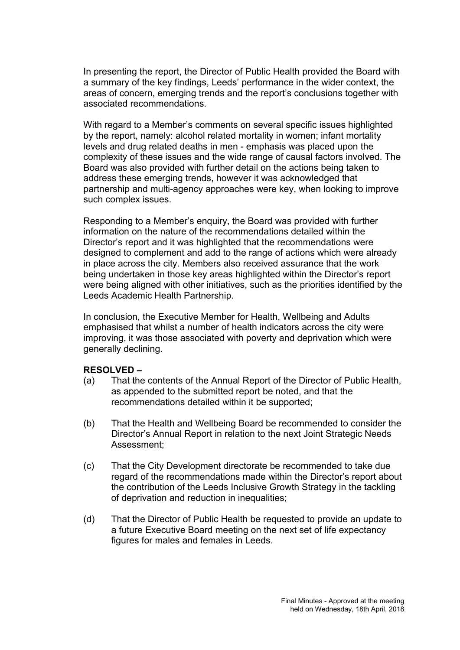In presenting the report, the Director of Public Health provided the Board with a summary of the key findings, Leeds' performance in the wider context, the areas of concern, emerging trends and the report's conclusions together with associated recommendations.

With regard to a Member's comments on several specific issues highlighted by the report, namely: alcohol related mortality in women; infant mortality levels and drug related deaths in men - emphasis was placed upon the complexity of these issues and the wide range of causal factors involved. The Board was also provided with further detail on the actions being taken to address these emerging trends, however it was acknowledged that partnership and multi-agency approaches were key, when looking to improve such complex issues.

Responding to a Member's enquiry, the Board was provided with further information on the nature of the recommendations detailed within the Director's report and it was highlighted that the recommendations were designed to complement and add to the range of actions which were already in place across the city. Members also received assurance that the work being undertaken in those key areas highlighted within the Director's report were being aligned with other initiatives, such as the priorities identified by the Leeds Academic Health Partnership.

In conclusion, the Executive Member for Health, Wellbeing and Adults emphasised that whilst a number of health indicators across the city were improving, it was those associated with poverty and deprivation which were generally declining.

#### **RESOLVED –**

- (a) That the contents of the Annual Report of the Director of Public Health, as appended to the submitted report be noted, and that the recommendations detailed within it be supported;
- (b) That the Health and Wellbeing Board be recommended to consider the Director's Annual Report in relation to the next Joint Strategic Needs Assessment;
- (c) That the City Development directorate be recommended to take due regard of the recommendations made within the Director's report about the contribution of the Leeds Inclusive Growth Strategy in the tackling of deprivation and reduction in inequalities;
- (d) That the Director of Public Health be requested to provide an update to a future Executive Board meeting on the next set of life expectancy figures for males and females in Leeds.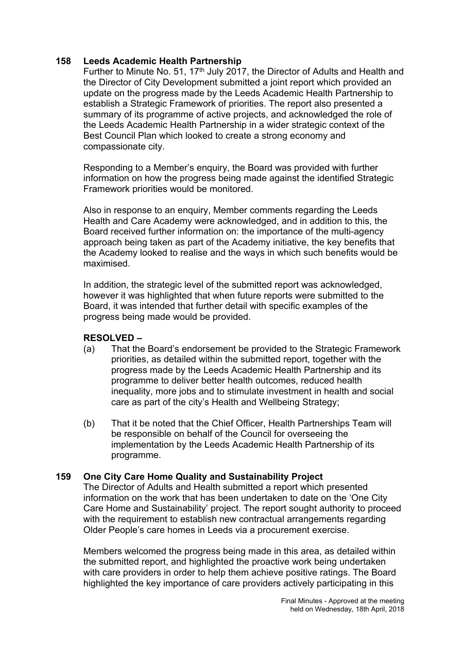## **158 Leeds Academic Health Partnership**

Further to Minute No. 51, 17<sup>th</sup> July 2017, the Director of Adults and Health and the Director of City Development submitted a joint report which provided an update on the progress made by the Leeds Academic Health Partnership to establish a Strategic Framework of priorities. The report also presented a summary of its programme of active projects, and acknowledged the role of the Leeds Academic Health Partnership in a wider strategic context of the Best Council Plan which looked to create a strong economy and compassionate city.

Responding to a Member's enquiry, the Board was provided with further information on how the progress being made against the identified Strategic Framework priorities would be monitored.

Also in response to an enquiry, Member comments regarding the Leeds Health and Care Academy were acknowledged, and in addition to this, the Board received further information on: the importance of the multi-agency approach being taken as part of the Academy initiative, the key benefits that the Academy looked to realise and the ways in which such benefits would be maximised.

In addition, the strategic level of the submitted report was acknowledged, however it was highlighted that when future reports were submitted to the Board, it was intended that further detail with specific examples of the progress being made would be provided.

#### **RESOLVED –**

- (a) That the Board's endorsement be provided to the Strategic Framework priorities, as detailed within the submitted report, together with the progress made by the Leeds Academic Health Partnership and its programme to deliver better health outcomes, reduced health inequality, more jobs and to stimulate investment in health and social care as part of the city's Health and Wellbeing Strategy;
- (b) That it be noted that the Chief Officer, Health Partnerships Team will be responsible on behalf of the Council for overseeing the implementation by the Leeds Academic Health Partnership of its programme.

## **159 One City Care Home Quality and Sustainability Project**

The Director of Adults and Health submitted a report which presented information on the work that has been undertaken to date on the 'One City Care Home and Sustainability' project. The report sought authority to proceed with the requirement to establish new contractual arrangements regarding Older People's care homes in Leeds via a procurement exercise.

Members welcomed the progress being made in this area, as detailed within the submitted report, and highlighted the proactive work being undertaken with care providers in order to help them achieve positive ratings. The Board highlighted the key importance of care providers actively participating in this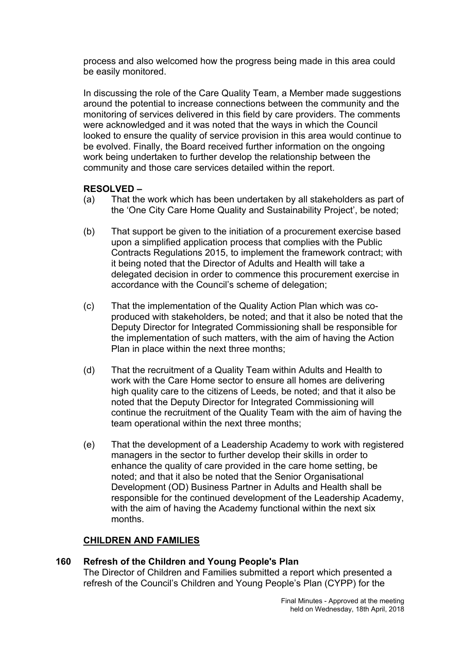process and also welcomed how the progress being made in this area could be easily monitored.

In discussing the role of the Care Quality Team, a Member made suggestions around the potential to increase connections between the community and the monitoring of services delivered in this field by care providers. The comments were acknowledged and it was noted that the ways in which the Council looked to ensure the quality of service provision in this area would continue to be evolved. Finally, the Board received further information on the ongoing work being undertaken to further develop the relationship between the community and those care services detailed within the report.

## **RESOLVED –**

- (a) That the work which has been undertaken by all stakeholders as part of the 'One City Care Home Quality and Sustainability Project', be noted;
- (b) That support be given to the initiation of a procurement exercise based upon a simplified application process that complies with the Public Contracts Regulations 2015, to implement the framework contract; with it being noted that the Director of Adults and Health will take a delegated decision in order to commence this procurement exercise in accordance with the Council's scheme of delegation;
- (c) That the implementation of the Quality Action Plan which was coproduced with stakeholders, be noted; and that it also be noted that the Deputy Director for Integrated Commissioning shall be responsible for the implementation of such matters, with the aim of having the Action Plan in place within the next three months;
- (d) That the recruitment of a Quality Team within Adults and Health to work with the Care Home sector to ensure all homes are delivering high quality care to the citizens of Leeds, be noted; and that it also be noted that the Deputy Director for Integrated Commissioning will continue the recruitment of the Quality Team with the aim of having the team operational within the next three months;
- (e) That the development of a Leadership Academy to work with registered managers in the sector to further develop their skills in order to enhance the quality of care provided in the care home setting, be noted; and that it also be noted that the Senior Organisational Development (OD) Business Partner in Adults and Health shall be responsible for the continued development of the Leadership Academy, with the aim of having the Academy functional within the next six months.

## **CHILDREN AND FAMILIES**

## **160 Refresh of the Children and Young People's Plan**

The Director of Children and Families submitted a report which presented a refresh of the Council's Children and Young People's Plan (CYPP) for the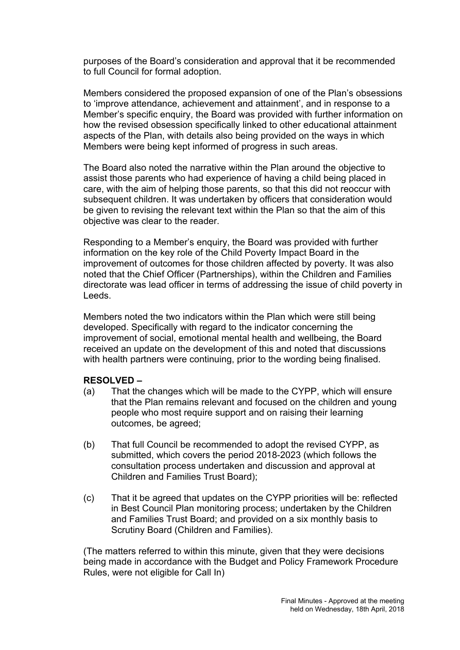purposes of the Board's consideration and approval that it be recommended to full Council for formal adoption.

Members considered the proposed expansion of one of the Plan's obsessions to 'improve attendance, achievement and attainment', and in response to a Member's specific enquiry, the Board was provided with further information on how the revised obsession specifically linked to other educational attainment aspects of the Plan, with details also being provided on the ways in which Members were being kept informed of progress in such areas.

The Board also noted the narrative within the Plan around the objective to assist those parents who had experience of having a child being placed in care, with the aim of helping those parents, so that this did not reoccur with subsequent children. It was undertaken by officers that consideration would be given to revising the relevant text within the Plan so that the aim of this objective was clear to the reader.

Responding to a Member's enquiry, the Board was provided with further information on the key role of the Child Poverty Impact Board in the improvement of outcomes for those children affected by poverty. It was also noted that the Chief Officer (Partnerships), within the Children and Families directorate was lead officer in terms of addressing the issue of child poverty in Leeds.

Members noted the two indicators within the Plan which were still being developed. Specifically with regard to the indicator concerning the improvement of social, emotional mental health and wellbeing, the Board received an update on the development of this and noted that discussions with health partners were continuing, prior to the wording being finalised.

#### **RESOLVED –**

- (a) That the changes which will be made to the CYPP, which will ensure that the Plan remains relevant and focused on the children and young people who most require support and on raising their learning outcomes, be agreed;
- (b) That full Council be recommended to adopt the revised CYPP, as submitted, which covers the period 2018-2023 (which follows the consultation process undertaken and discussion and approval at Children and Families Trust Board);
- (c) That it be agreed that updates on the CYPP priorities will be: reflected in Best Council Plan monitoring process; undertaken by the Children and Families Trust Board; and provided on a six monthly basis to Scrutiny Board (Children and Families).

(The matters referred to within this minute, given that they were decisions being made in accordance with the Budget and Policy Framework Procedure Rules, were not eligible for Call In)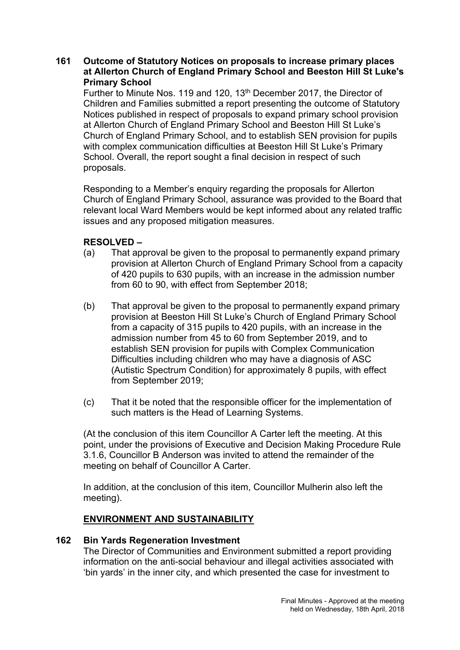## **161 Outcome of Statutory Notices on proposals to increase primary places at Allerton Church of England Primary School and Beeston Hill St Luke's Primary School**

Further to Minute Nos. 119 and 120, 13th December 2017, the Director of Children and Families submitted a report presenting the outcome of Statutory Notices published in respect of proposals to expand primary school provision at Allerton Church of England Primary School and Beeston Hill St Luke's Church of England Primary School, and to establish SEN provision for pupils with complex communication difficulties at Beeston Hill St Luke's Primary School. Overall, the report sought a final decision in respect of such proposals.

Responding to a Member's enquiry regarding the proposals for Allerton Church of England Primary School, assurance was provided to the Board that relevant local Ward Members would be kept informed about any related traffic issues and any proposed mitigation measures.

## **RESOLVED –**

- (a) That approval be given to the proposal to permanently expand primary provision at Allerton Church of England Primary School from a capacity of 420 pupils to 630 pupils, with an increase in the admission number from 60 to 90, with effect from September 2018;
- (b) That approval be given to the proposal to permanently expand primary provision at Beeston Hill St Luke's Church of England Primary School from a capacity of 315 pupils to 420 pupils, with an increase in the admission number from 45 to 60 from September 2019, and to establish SEN provision for pupils with Complex Communication Difficulties including children who may have a diagnosis of ASC (Autistic Spectrum Condition) for approximately 8 pupils, with effect from September 2019;
- (c) That it be noted that the responsible officer for the implementation of such matters is the Head of Learning Systems.

(At the conclusion of this item Councillor A Carter left the meeting. At this point, under the provisions of Executive and Decision Making Procedure Rule 3.1.6, Councillor B Anderson was invited to attend the remainder of the meeting on behalf of Councillor A Carter.

In addition, at the conclusion of this item, Councillor Mulherin also left the meeting).

#### **ENVIRONMENT AND SUSTAINABILITY**

#### **162 Bin Yards Regeneration Investment**

The Director of Communities and Environment submitted a report providing information on the anti-social behaviour and illegal activities associated with 'bin yards' in the inner city, and which presented the case for investment to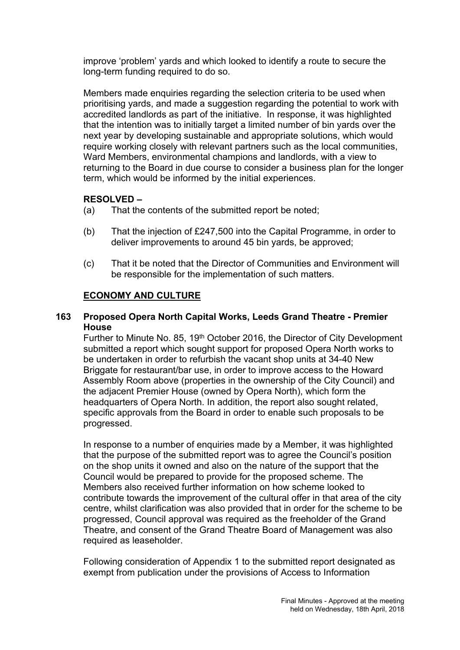improve 'problem' yards and which looked to identify a route to secure the long-term funding required to do so.

Members made enquiries regarding the selection criteria to be used when prioritising yards, and made a suggestion regarding the potential to work with accredited landlords as part of the initiative. In response, it was highlighted that the intention was to initially target a limited number of bin yards over the next year by developing sustainable and appropriate solutions, which would require working closely with relevant partners such as the local communities, Ward Members, environmental champions and landlords, with a view to returning to the Board in due course to consider a business plan for the longer term, which would be informed by the initial experiences.

## **RESOLVED –**

- (a) That the contents of the submitted report be noted;
- (b) That the injection of £247,500 into the Capital Programme, in order to deliver improvements to around 45 bin yards, be approved;
- (c) That it be noted that the Director of Communities and Environment will be responsible for the implementation of such matters.

## **ECONOMY AND CULTURE**

## **163 Proposed Opera North Capital Works, Leeds Grand Theatre - Premier House**

Further to Minute No. 85, 19th October 2016, the Director of City Development submitted a report which sought support for proposed Opera North works to be undertaken in order to refurbish the vacant shop units at 34-40 New Briggate for restaurant/bar use, in order to improve access to the Howard Assembly Room above (properties in the ownership of the City Council) and the adjacent Premier House (owned by Opera North), which form the headquarters of Opera North. In addition, the report also sought related, specific approvals from the Board in order to enable such proposals to be progressed.

In response to a number of enquiries made by a Member, it was highlighted that the purpose of the submitted report was to agree the Council's position on the shop units it owned and also on the nature of the support that the Council would be prepared to provide for the proposed scheme. The Members also received further information on how scheme looked to contribute towards the improvement of the cultural offer in that area of the city centre, whilst clarification was also provided that in order for the scheme to be progressed, Council approval was required as the freeholder of the Grand Theatre, and consent of the Grand Theatre Board of Management was also required as leaseholder.

Following consideration of Appendix 1 to the submitted report designated as exempt from publication under the provisions of Access to Information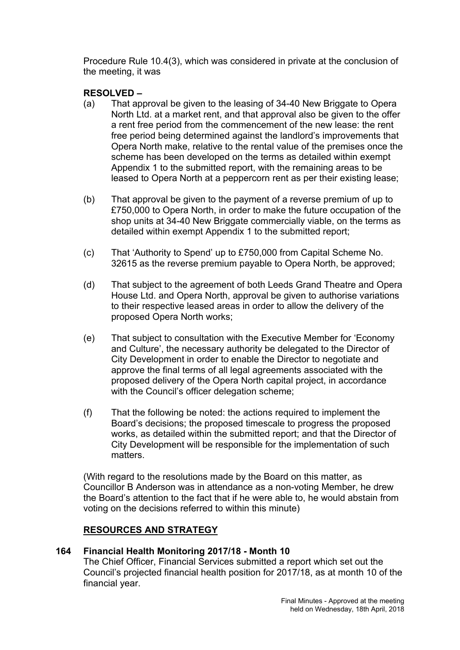Procedure Rule 10.4(3), which was considered in private at the conclusion of the meeting, it was

## **RESOLVED –**

- (a) That approval be given to the leasing of 34-40 New Briggate to Opera North Ltd. at a market rent, and that approval also be given to the offer a rent free period from the commencement of the new lease: the rent free period being determined against the landlord's improvements that Opera North make, relative to the rental value of the premises once the scheme has been developed on the terms as detailed within exempt Appendix 1 to the submitted report, with the remaining areas to be leased to Opera North at a peppercorn rent as per their existing lease;
- (b) That approval be given to the payment of a reverse premium of up to £750,000 to Opera North, in order to make the future occupation of the shop units at 34-40 New Briggate commercially viable, on the terms as detailed within exempt Appendix 1 to the submitted report;
- (c) That 'Authority to Spend' up to £750,000 from Capital Scheme No. 32615 as the reverse premium payable to Opera North, be approved;
- (d) That subject to the agreement of both Leeds Grand Theatre and Opera House Ltd. and Opera North, approval be given to authorise variations to their respective leased areas in order to allow the delivery of the proposed Opera North works;
- (e) That subject to consultation with the Executive Member for 'Economy and Culture', the necessary authority be delegated to the Director of City Development in order to enable the Director to negotiate and approve the final terms of all legal agreements associated with the proposed delivery of the Opera North capital project, in accordance with the Council's officer delegation scheme;
- (f) That the following be noted: the actions required to implement the Board's decisions; the proposed timescale to progress the proposed works, as detailed within the submitted report; and that the Director of City Development will be responsible for the implementation of such matters.

(With regard to the resolutions made by the Board on this matter, as Councillor B Anderson was in attendance as a non-voting Member, he drew the Board's attention to the fact that if he were able to, he would abstain from voting on the decisions referred to within this minute)

## **RESOURCES AND STRATEGY**

## **164 Financial Health Monitoring 2017/18 - Month 10**

The Chief Officer, Financial Services submitted a report which set out the Council's projected financial health position for 2017/18, as at month 10 of the financial year.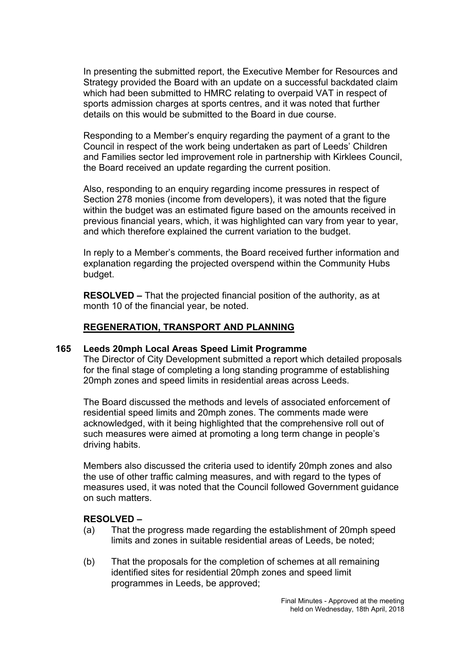In presenting the submitted report, the Executive Member for Resources and Strategy provided the Board with an update on a successful backdated claim which had been submitted to HMRC relating to overpaid VAT in respect of sports admission charges at sports centres, and it was noted that further details on this would be submitted to the Board in due course.

Responding to a Member's enquiry regarding the payment of a grant to the Council in respect of the work being undertaken as part of Leeds' Children and Families sector led improvement role in partnership with Kirklees Council, the Board received an update regarding the current position.

Also, responding to an enquiry regarding income pressures in respect of Section 278 monies (income from developers), it was noted that the figure within the budget was an estimated figure based on the amounts received in previous financial years, which, it was highlighted can vary from year to year, and which therefore explained the current variation to the budget.

In reply to a Member's comments, the Board received further information and explanation regarding the projected overspend within the Community Hubs budget.

**RESOLVED –** That the projected financial position of the authority, as at month 10 of the financial year, be noted.

#### **REGENERATION, TRANSPORT AND PLANNING**

#### **165 Leeds 20mph Local Areas Speed Limit Programme**

The Director of City Development submitted a report which detailed proposals for the final stage of completing a long standing programme of establishing 20mph zones and speed limits in residential areas across Leeds.

The Board discussed the methods and levels of associated enforcement of residential speed limits and 20mph zones. The comments made were acknowledged, with it being highlighted that the comprehensive roll out of such measures were aimed at promoting a long term change in people's driving habits.

Members also discussed the criteria used to identify 20mph zones and also the use of other traffic calming measures, and with regard to the types of measures used, it was noted that the Council followed Government guidance on such matters.

#### **RESOLVED –**

- (a) That the progress made regarding the establishment of 20mph speed limits and zones in suitable residential areas of Leeds, be noted;
- (b) That the proposals for the completion of schemes at all remaining identified sites for residential 20mph zones and speed limit programmes in Leeds, be approved;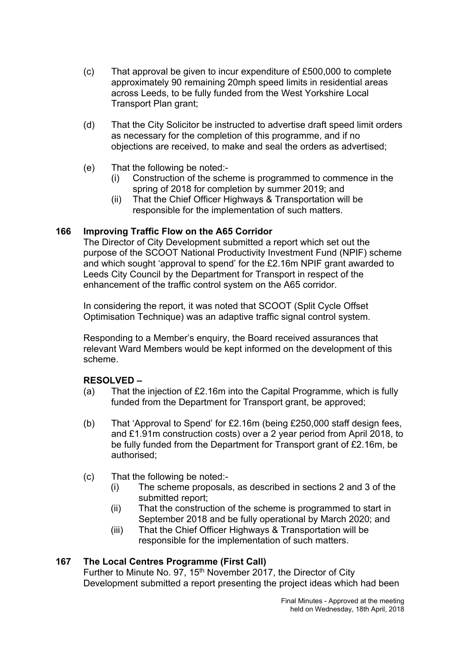- (c) That approval be given to incur expenditure of £500,000 to complete approximately 90 remaining 20mph speed limits in residential areas across Leeds, to be fully funded from the West Yorkshire Local Transport Plan grant;
- (d) That the City Solicitor be instructed to advertise draft speed limit orders as necessary for the completion of this programme, and if no objections are received, to make and seal the orders as advertised;
- (e) That the following be noted:-
	- (i) Construction of the scheme is programmed to commence in the spring of 2018 for completion by summer 2019; and
	- (ii) That the Chief Officer Highways & Transportation will be responsible for the implementation of such matters.

## **166 Improving Traffic Flow on the A65 Corridor**

The Director of City Development submitted a report which set out the purpose of the SCOOT National Productivity Investment Fund (NPIF) scheme and which sought 'approval to spend' for the £2.16m NPIF grant awarded to Leeds City Council by the Department for Transport in respect of the enhancement of the traffic control system on the A65 corridor.

In considering the report, it was noted that SCOOT (Split Cycle Offset Optimisation Technique) was an adaptive traffic signal control system.

Responding to a Member's enquiry, the Board received assurances that relevant Ward Members would be kept informed on the development of this scheme.

#### **RESOLVED –**

- (a) That the injection of £2.16m into the Capital Programme, which is fully funded from the Department for Transport grant, be approved;
- (b) That 'Approval to Spend' for £2.16m (being £250,000 staff design fees, and £1.91m construction costs) over a 2 year period from April 2018, to be fully funded from the Department for Transport grant of £2.16m, be authorised;
- (c) That the following be noted:-
	- (i) The scheme proposals, as described in sections 2 and 3 of the submitted report;
	- (ii) That the construction of the scheme is programmed to start in September 2018 and be fully operational by March 2020; and
	- (iii) That the Chief Officer Highways & Transportation will be responsible for the implementation of such matters.

#### **167 The Local Centres Programme (First Call)**

Further to Minute No. 97, 15<sup>th</sup> November 2017, the Director of City Development submitted a report presenting the project ideas which had been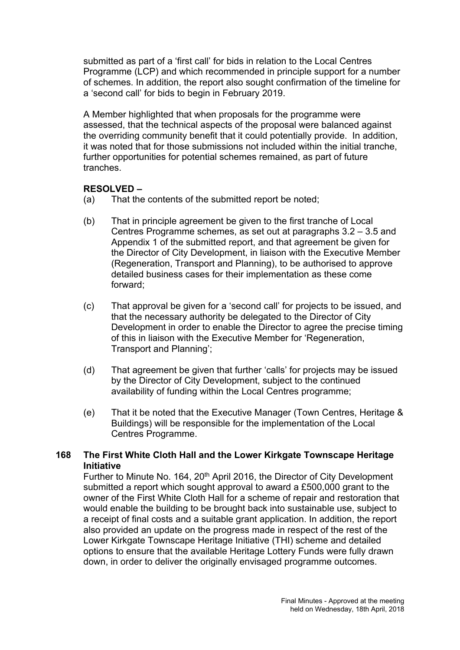submitted as part of a 'first call' for bids in relation to the Local Centres Programme (LCP) and which recommended in principle support for a number of schemes. In addition, the report also sought confirmation of the timeline for a 'second call' for bids to begin in February 2019.

A Member highlighted that when proposals for the programme were assessed, that the technical aspects of the proposal were balanced against the overriding community benefit that it could potentially provide. In addition, it was noted that for those submissions not included within the initial tranche, further opportunities for potential schemes remained, as part of future tranches.

## **RESOLVED –**

- (a) That the contents of the submitted report be noted;
- (b) That in principle agreement be given to the first tranche of Local Centres Programme schemes, as set out at paragraphs 3.2 – 3.5 and Appendix 1 of the submitted report, and that agreement be given for the Director of City Development, in liaison with the Executive Member (Regeneration, Transport and Planning), to be authorised to approve detailed business cases for their implementation as these come forward;
- (c) That approval be given for a 'second call' for projects to be issued, and that the necessary authority be delegated to the Director of City Development in order to enable the Director to agree the precise timing of this in liaison with the Executive Member for 'Regeneration, Transport and Planning';
- (d) That agreement be given that further 'calls' for projects may be issued by the Director of City Development, subject to the continued availability of funding within the Local Centres programme;
- (e) That it be noted that the Executive Manager (Town Centres, Heritage & Buildings) will be responsible for the implementation of the Local Centres Programme.

## **168 The First White Cloth Hall and the Lower Kirkgate Townscape Heritage Initiative**

Further to Minute No. 164, 20<sup>th</sup> April 2016, the Director of City Development submitted a report which sought approval to award a £500,000 grant to the owner of the First White Cloth Hall for a scheme of repair and restoration that would enable the building to be brought back into sustainable use, subject to a receipt of final costs and a suitable grant application. In addition, the report also provided an update on the progress made in respect of the rest of the Lower Kirkgate Townscape Heritage Initiative (THI) scheme and detailed options to ensure that the available Heritage Lottery Funds were fully drawn down, in order to deliver the originally envisaged programme outcomes.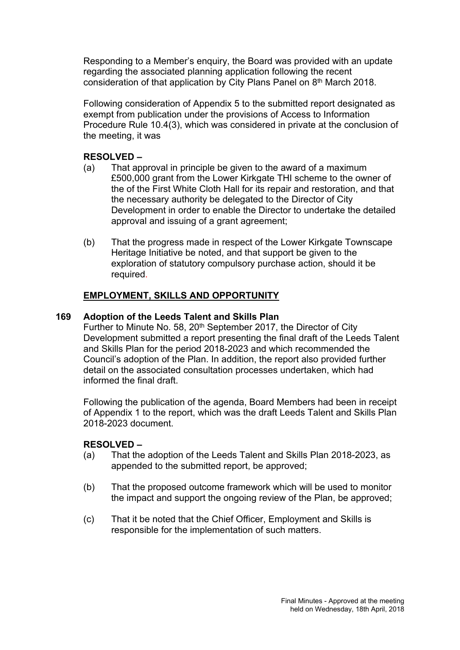Responding to a Member's enquiry, the Board was provided with an update regarding the associated planning application following the recent consideration of that application by City Plans Panel on 8<sup>th</sup> March 2018.

Following consideration of Appendix 5 to the submitted report designated as exempt from publication under the provisions of Access to Information Procedure Rule 10.4(3), which was considered in private at the conclusion of the meeting, it was

## **RESOLVED –**

- (a) That approval in principle be given to the award of a maximum £500,000 grant from the Lower Kirkgate THI scheme to the owner of the of the First White Cloth Hall for its repair and restoration, and that the necessary authority be delegated to the Director of City Development in order to enable the Director to undertake the detailed approval and issuing of a grant agreement;
- (b) That the progress made in respect of the Lower Kirkgate Townscape Heritage Initiative be noted, and that support be given to the exploration of statutory compulsory purchase action, should it be required.

## **EMPLOYMENT, SKILLS AND OPPORTUNITY**

#### **169 Adoption of the Leeds Talent and Skills Plan**

Further to Minute No. 58, 20<sup>th</sup> September 2017, the Director of City Development submitted a report presenting the final draft of the Leeds Talent and Skills Plan for the period 2018-2023 and which recommended the Council's adoption of the Plan. In addition, the report also provided further detail on the associated consultation processes undertaken, which had informed the final draft.

Following the publication of the agenda, Board Members had been in receipt of Appendix 1 to the report, which was the draft Leeds Talent and Skills Plan 2018-2023 document.

#### **RESOLVED –**

- (a) That the adoption of the Leeds Talent and Skills Plan 2018-2023, as appended to the submitted report, be approved;
- (b) That the proposed outcome framework which will be used to monitor the impact and support the ongoing review of the Plan, be approved;
- (c) That it be noted that the Chief Officer, Employment and Skills is responsible for the implementation of such matters.